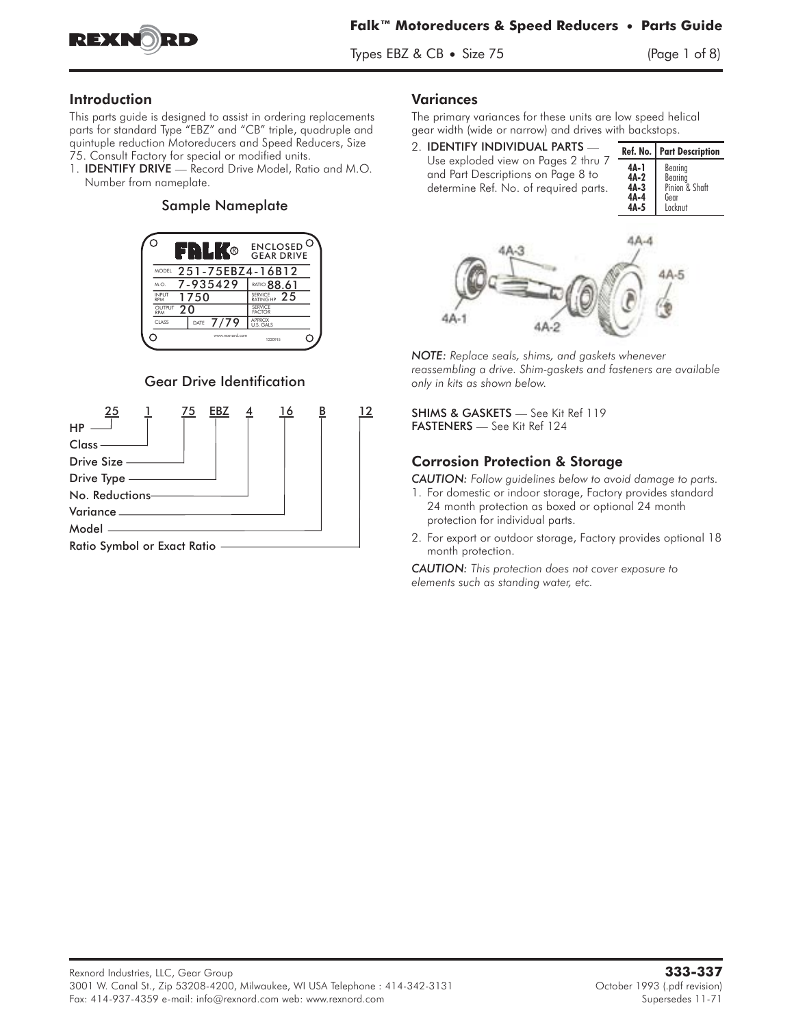

Types EBZ  $& CB \cdot \text{Size } 75$  (Page 1 of 8)

### Introduction

This parts guide is designed to assist in ordering replacements parts for standard Type "EBZ" and "CB" triple, quadruple and quintuple reduction Motoreducers and Speed Reducers, Size This parts guide is designed to assist in ordering replacements<br>parts for standard Type "EBZ" and "CB" triple, quadruple and<br>quintuple reduction Motoreducers and Speed Reducers, Size<br>75. Consult Factory for special or modi

75. Consult Factory for special or modified units.<br>1. **IDENTIFY DRIVE** — Record Drive Model, Ratio and M.O. Number from nameplate.

#### Sample Nameplate



### Gear Drive Identification



#### Variances

The primary variances for these units are low speed helical gear width (wide or narrow) and drives with backstops.

| 2. IDENTIFY INDIVIDUAL PARTS                                                                                       |                                                | Ref. No.   Part Description                             |
|--------------------------------------------------------------------------------------------------------------------|------------------------------------------------|---------------------------------------------------------|
| Use exploded view on Pages 2 thru 7<br>and Part Descriptions on Page 8 to<br>determine Ref. No. of required parts. | $4A-1$<br>$4A-2$<br>$4A-3$<br>$4A-4$<br>$4A-5$ | Bearing<br>Bearing<br>Pinion & Shaft<br>Gear<br>Locknut |
| <b>ALC: NO</b>                                                                                                     |                                                |                                                         |



*NOTE: Replace seals, shims, and gaskets whenever reassembling a drive. Shim-gaskets and fasteners are available only in kits as shown below.*

SHIMS & GASKETS — See Kit Ref 119 FASTENERS — See Kit Ref 124

### Corrosion Protection & Storage

*CAUTION: Follow guidelines below to avoid damage to parts.*

- 1. For domestic or indoor storage, Factory provides standard 24 month protection as boxed or optional 24 month protection for individual parts.
- 2. For export or outdoor storage, Factory provides optional 18 month protection.

*CAUTION: This protection does not cover exposure to elements such as standing water, etc.*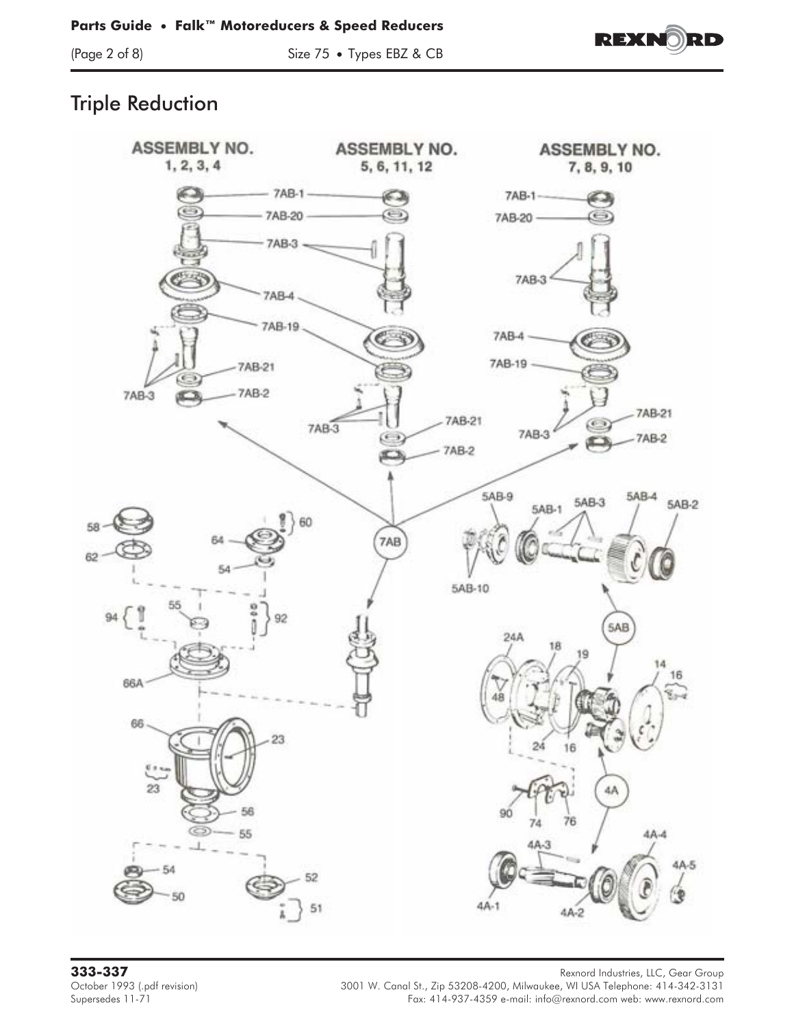

(Page 2 of 8) Size 75 • Types EBZ & CB



# Triple Reduction



**333-337** Rexnord Industries, LLC, Gear Group October 1993 (.pdf revision) 3001 W. Canal St., Zip 53208-4200, Milwaukee, WI USA Telephone: 414-342-3131 (.pdf<br>Fax: 414-937-4359 e-mail: info@rexnord.com web: www.rexnord.com Fax: 414-937-4359 e-mail: info@rexnord.com web: www.rexnord.com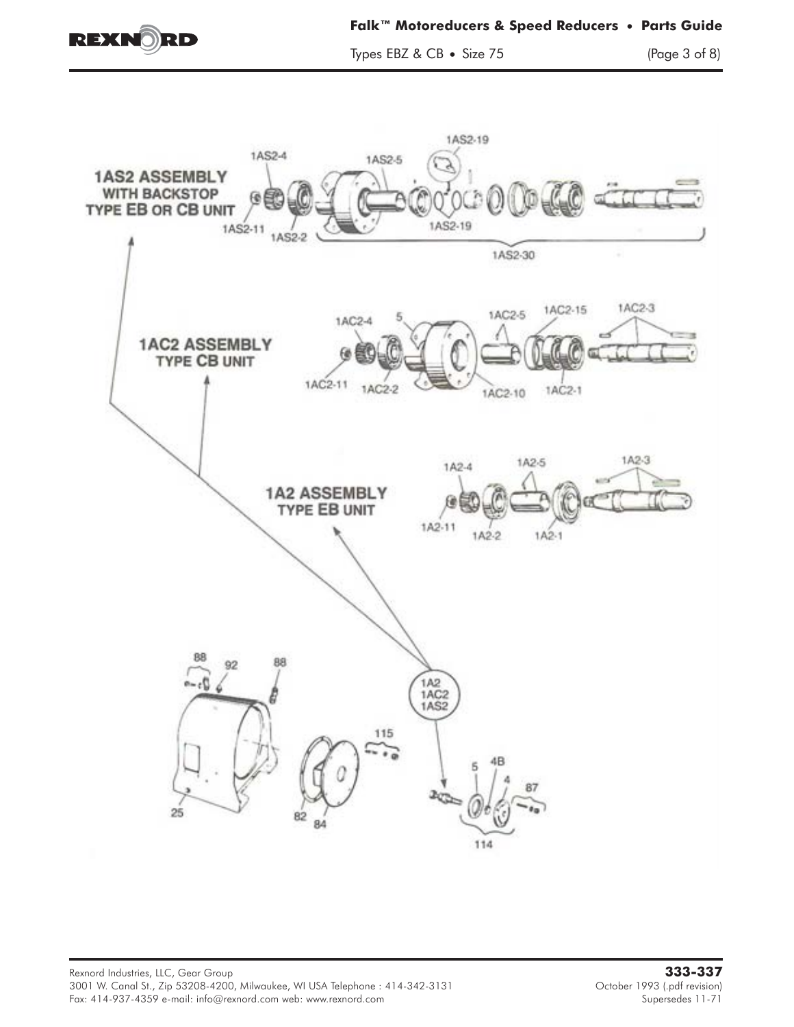

Types EBZ & CB • Size 75 (Page 3 of 8)

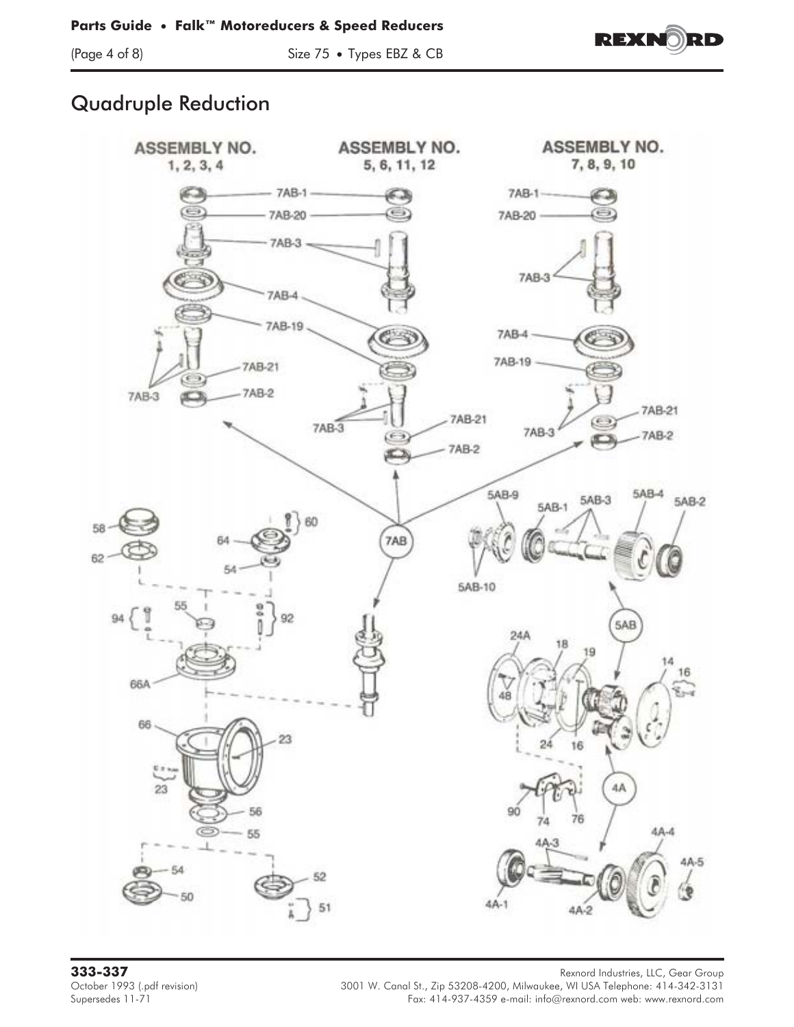

(Page 4 of 8) Size 75 • Types EBZ & CB



## Quadruple Reduction



**333-337** Rexnord Industries, LLC, Gear Group October 1993 (.pdf revision) 3001 W. Canal St., Zip 53208-4200, Milwaukee, WI USA Telephone: 414-342-3131 (.pdf<br>Fax: 414-937-4359 e-mail: info@rexnord.com web: www.rexnord.com Fax: 414-937-4359 e-mail: info@rexnord.com web: www.rexnord.com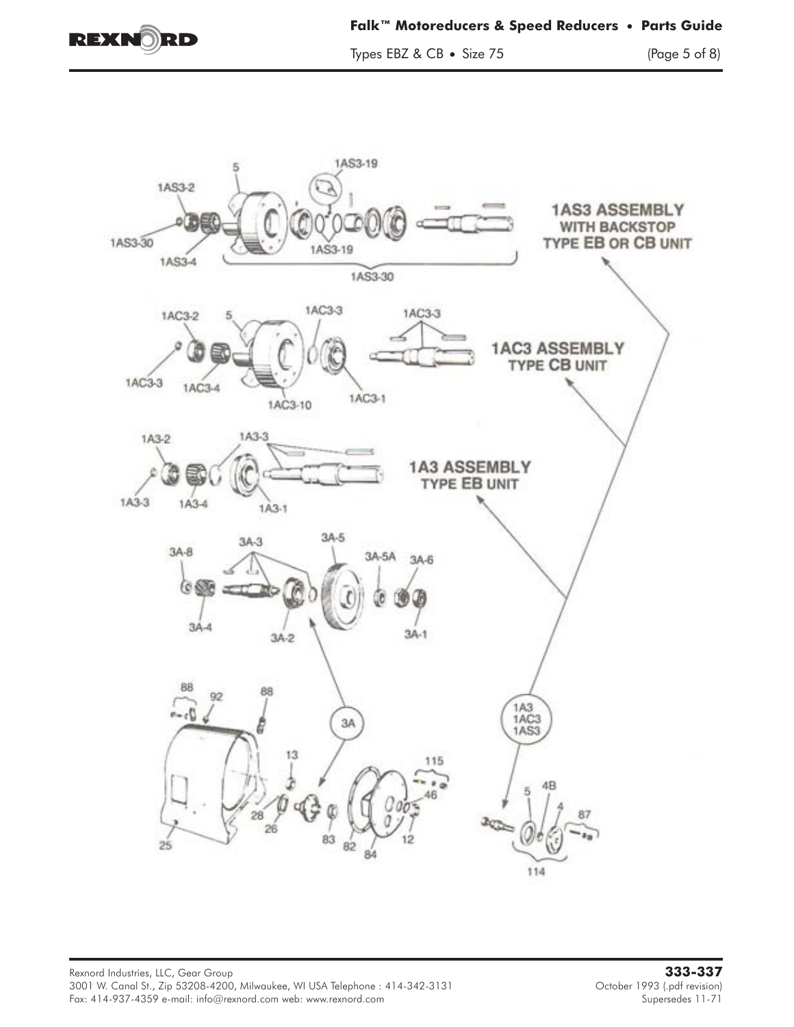

Types EBZ & CB • Size 75 (Page 5 of 8)

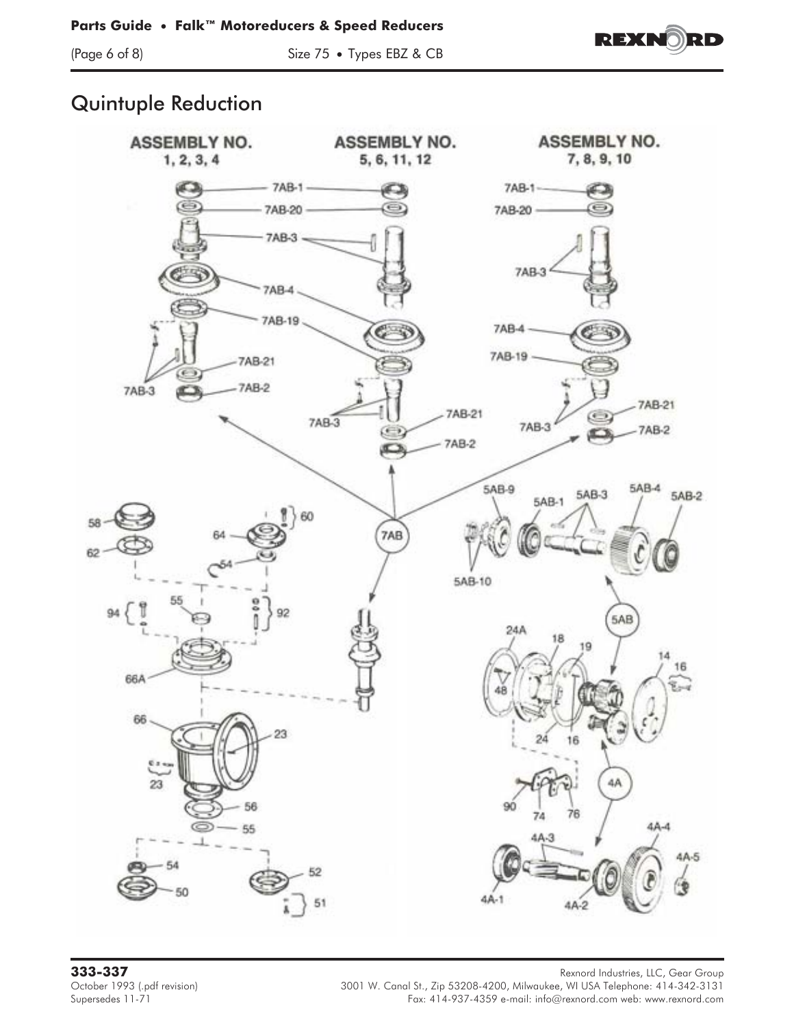

(Page 6 of 8) Size 75 • Types EBZ & CB



## Quintuple Reduction



**333-337** Rexnord Industries, LLC, Gear Group October 1993 (.pdf revision) 3001 W. Canal St., Zip 53208-4200, Milwaukee, WI USA Telephone: 414-342-3131 (.pdf<br>Fax: 414-937-4359 e-mail: info@rexnord.com web: www.rexnord.com Fax: 414-937-4359 e-mail: info@rexnord.com web: www.rexnord.com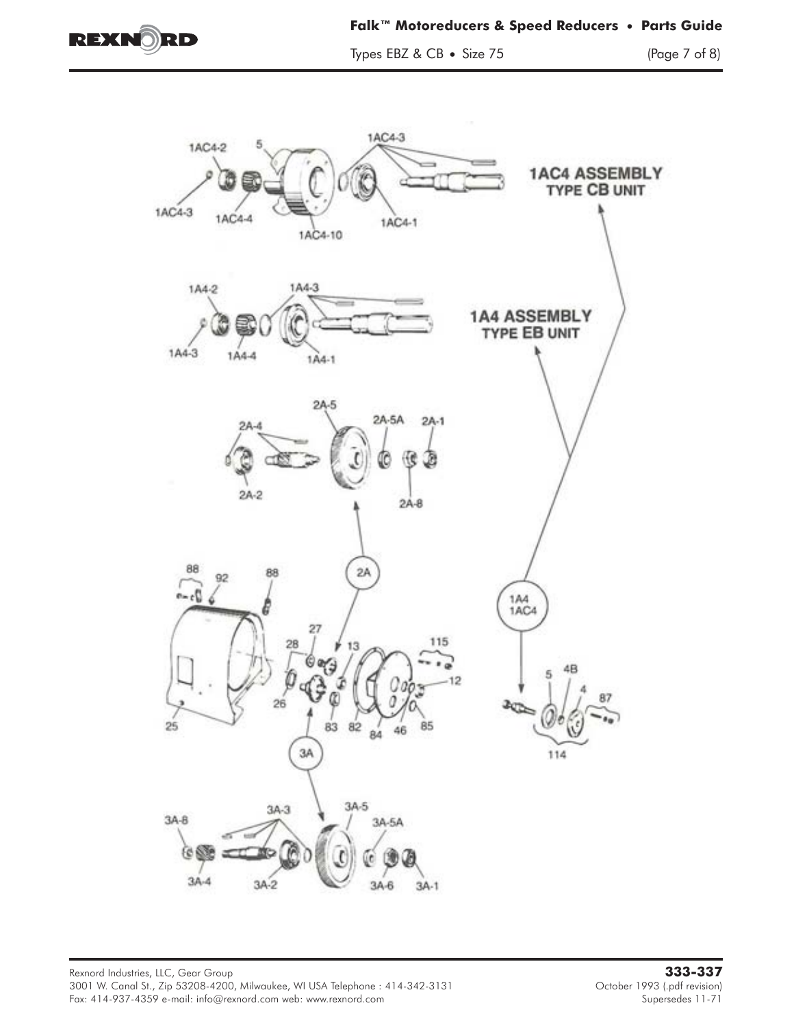

Types EBZ & CB • Size 75 (Page 7 of 8)